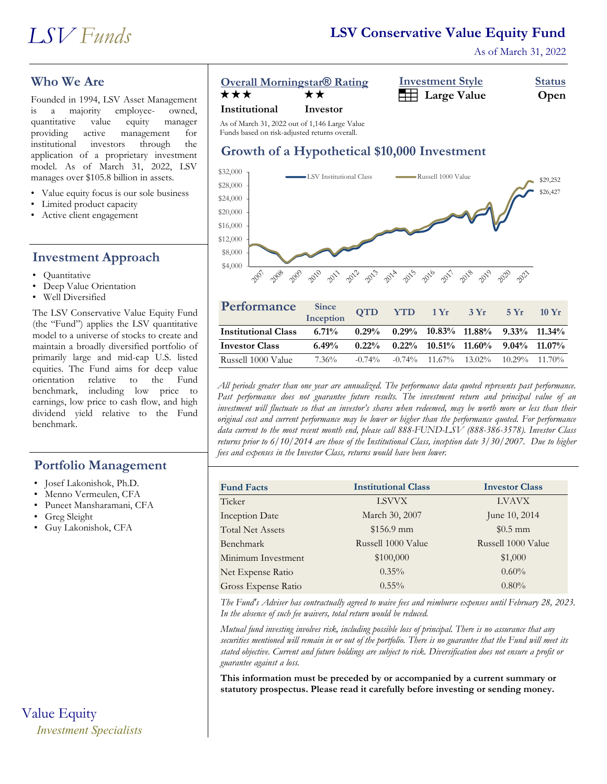#### **LSV Conservative Value Equity Fund**

As of March 31, 2022

#### **Who We Are**

Founded in 1994, LSV Asset Management<br>is a majority employee- owned, is a majority employee- owned, quantitative value equity manager providing active management for institutional investors through the application of a proprietary investment model. As of March 31, 2022, LSV manages over \$105.8 billion in assets.

- Value equity focus is our sole business
- Limited product capacity
- Active client engagement

#### **Investment Approach**

- Quantitative
- Deep Value Orientation
- Well Diversified

The LSV Conservative Value Equity Fund (the "Fund") applies the LSV quantitative model to a universe of stocks to create and maintain a broadly diversified portfolio of primarily large and mid-cap U.S. listed equities. The Fund aims for deep value orientation relative to the Fund benchmark, including low price to earnings, low price to cash flow, and high dividend yield relative to the Fund benchmark.

#### **Portfolio Management**

- Josef Lakonishok, Ph.D.
- Menno Vermeulen, CFA
- Puneet Mansharamani, CFA
- Greg Sleight
- Guy Lakonishok, CFA

# Value Equity *Investment Specialists*

#### **Overall Morningstar<sup>®</sup> Rating**

| <b>Overall Morningstar® Rating</b> | <b>Investment Style</b>      | <b>Status</b> |
|------------------------------------|------------------------------|---------------|
| ★★★<br>★★                          | <b>Example 1</b> Large Value | Open          |

#### **Institutional Investor**

As of March 31, 2022 out of 1,146 Large Value Funds based on risk-adjusted returns overall.

#### **Growth of a Hypothetical \$10,000 Investment**



| Performance                | Since<br>Inception | <b>QTD</b> |  | $YTD$ 1 $Yr$ 3 $Yr$                                      | 5Yr | $10 \text{ Yr}$ |
|----------------------------|--------------------|------------|--|----------------------------------------------------------|-----|-----------------|
| <b>Institutional Class</b> | $6.71\%$           |            |  | $0.29\%$ $0.29\%$ $10.83\%$ $11.88\%$ $9.33\%$ $11.34\%$ |     |                 |
| <b>Investor Class</b>      | 6.49%              | $0.22\%$   |  | $0.22\%$ $10.51\%$ $11.60\%$ $9.04\%$ $11.07\%$          |     |                 |
| Russell 1000 Value         | $7.36\%$           | $-0.74\%$  |  | $-0.74\%$ 11.67% 13.02% 10.29% 11.70%                    |     |                 |

*All periods greater than one year are annualized. The performance data quoted represents past performance. Past performance does not guarantee future results. The investment return and principal value of an investment will fluctuate so that an investor's shares when redeemed, may be worth more or less than their original cost and current performance may be lower or higher than the performance quoted. For performance data current to the most recent month end, please call 888-FUND-LSV (888-386-3578). Investor Class returns prior to 6/10/2014 are those of the Institutional Class, inception date 3/30/2007. Due to higher fees and expenses in the Investor Class, returns would have been lower.*

| <b>Fund Facts</b>       | <b>Institutional Class</b> | <b>Investor Class</b> |
|-------------------------|----------------------------|-----------------------|
| Ticker                  | <b>LSVVX</b>               | <b>LVAVX</b>          |
| <b>Inception Date</b>   | March 30, 2007             | June 10, 2014         |
| <b>Total Net Assets</b> | $$156.9$ mm                | $$0.5$ mm             |
| Benchmark               | Russell 1000 Value         | Russell 1000 Value    |
| Minimum Investment      | \$100,000                  | \$1,000               |
| Net Expense Ratio       | $0.35\%$                   | $0.60\%$              |
| Gross Expense Ratio     | $0.55\%$                   | $0.80\%$              |

*The Fund's Adviser has contractually agreed to waive fees and reimburse expenses until February 28, 2023. In the absence of such fee waivers, total return would be reduced.*

*Mutual fund investing involves risk, including possible loss of principal. There is no assurance that any securities mentioned will remain in or out of the portfolio. There is no guarantee that the Fund will meet its stated objective. Current and future holdings are subject to risk. Diversification does not ensure a profit or guarantee against a loss.*

**This information must be preceded by or accompanied by a current summary or statutory prospectus. Please read it carefully before investing or sending money.**